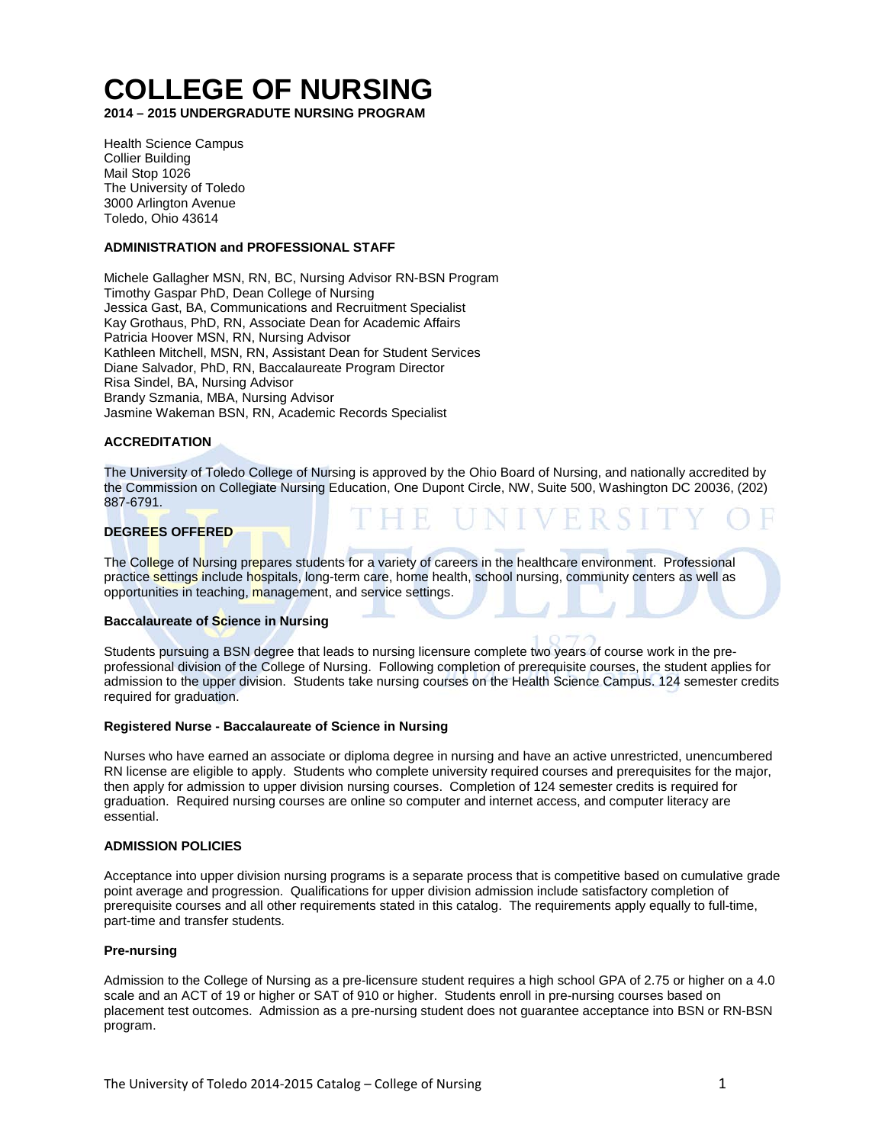# **COLLEGE OF NURSING**

**2014 – 2015 UNDERGRADUTE NURSING PROGRAM**

Health Science Campus Collier Building Mail Stop 1026 The University of Toledo 3000 Arlington Avenue Toledo, Ohio 43614

# **ADMINISTRATION and PROFESSIONAL STAFF**

Michele Gallagher MSN, RN, BC, Nursing Advisor RN-BSN Program Timothy Gaspar PhD, Dean College of Nursing Jessica Gast, BA, Communications and Recruitment Specialist Kay Grothaus, PhD, RN, Associate Dean for Academic Affairs Patricia Hoover MSN, RN, Nursing Advisor Kathleen Mitchell, MSN, RN, Assistant Dean for Student Services Diane Salvador, PhD, RN, Baccalaureate Program Director Risa Sindel, BA, Nursing Advisor Brandy Szmania, MBA, Nursing Advisor Jasmine Wakeman BSN, RN, Academic Records Specialist

# **ACCREDITATION**

The University of Toledo College of Nursing is approved by the Ohio Board of Nursing, and nationally accredited by the Commission on Collegiate Nursing Education, One Dupont Circle, NW, Suite 500, Washington DC 20036, (202) 887-6791.

## **DEGREES OFFERED**

The College of Nursing prepares students for a variety of careers in the healthcare environment. Professional practice settings include hospitals, long-term care, home health, school nursing, community centers as well as opportunities in teaching, management, and service settings.

#### **Baccalaureate of Science in Nursing**

Students pursuing a BSN degree that leads to nursing licensure complete two years of course work in the preprofessional division of the College of Nursing. Following completion of prerequisite courses, the student applies for admission to the upper division. Students take nursing courses on the Health Science Campus. 124 semester credits required for graduation.

#### **Registered Nurse - Baccalaureate of Science in Nursing**

Nurses who have earned an associate or diploma degree in nursing and have an active unrestricted, unencumbered RN license are eligible to apply. Students who complete university required courses and prerequisites for the major, then apply for admission to upper division nursing courses. Completion of 124 semester credits is required for graduation. Required nursing courses are online so computer and internet access, and computer literacy are essential.

#### **ADMISSION POLICIES**

Acceptance into upper division nursing programs is a separate process that is competitive based on cumulative grade point average and progression. Qualifications for upper division admission include satisfactory completion of prerequisite courses and all other requirements stated in this catalog. The requirements apply equally to full-time, part-time and transfer students.

## **Pre-nursing**

Admission to the College of Nursing as a pre-licensure student requires a high school GPA of 2.75 or higher on a 4.0 scale and an ACT of 19 or higher or SAT of 910 or higher. Students enroll in pre-nursing courses based on placement test outcomes. Admission as a pre-nursing student does not guarantee acceptance into BSN or RN-BSN program.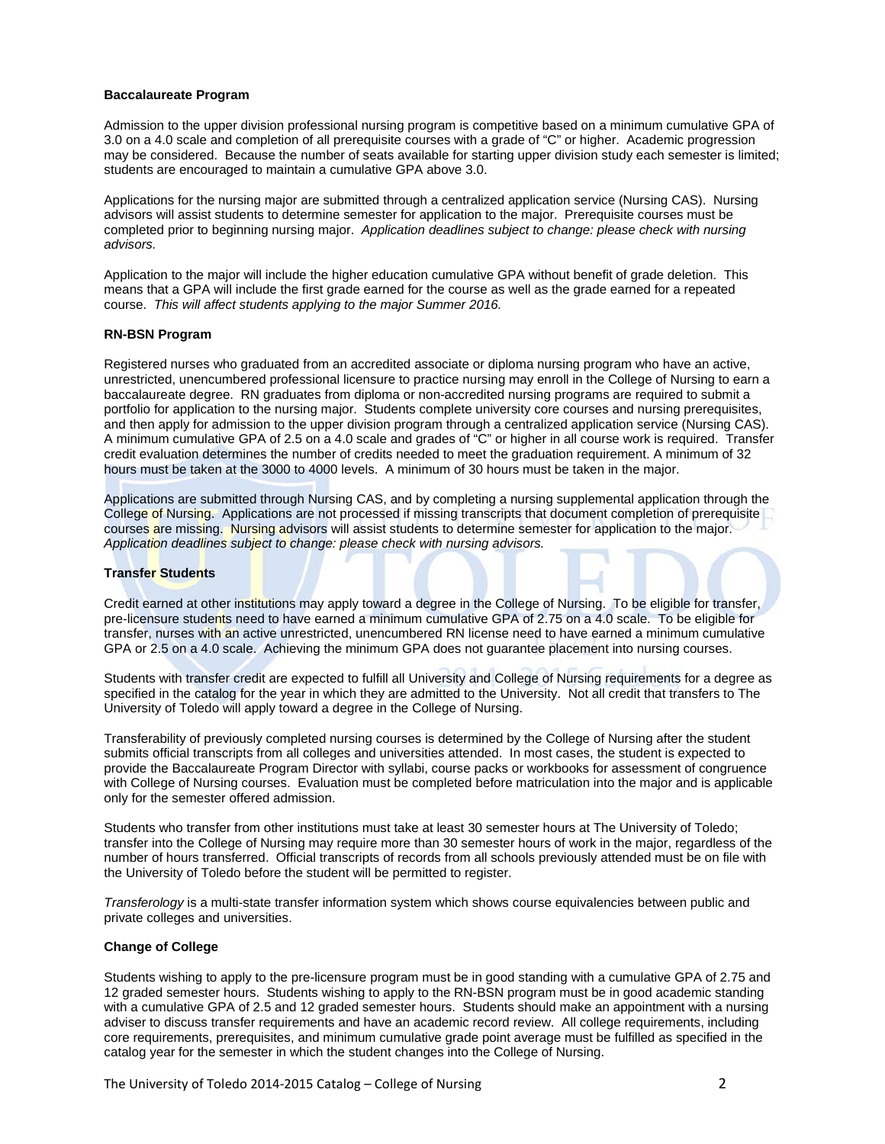## **Baccalaureate Program**

Admission to the upper division professional nursing program is competitive based on a minimum cumulative GPA of 3.0 on a 4.0 scale and completion of all prerequisite courses with a grade of "C" or higher. Academic progression may be considered. Because the number of seats available for starting upper division study each semester is limited; students are encouraged to maintain a cumulative GPA above 3.0.

Applications for the nursing major are submitted through a centralized application service (Nursing CAS). Nursing advisors will assist students to determine semester for application to the major. Prerequisite courses must be completed prior to beginning nursing major. *Application deadlines subject to change: please check with nursing advisors.*

Application to the major will include the higher education cumulative GPA without benefit of grade deletion. This means that a GPA will include the first grade earned for the course as well as the grade earned for a repeated course. *This will affect students applying to the major Summer 2016.*

# **RN-BSN Program**

Registered nurses who graduated from an accredited associate or diploma nursing program who have an active, unrestricted, unencumbered professional licensure to practice nursing may enroll in the College of Nursing to earn a baccalaureate degree. RN graduates from diploma or non-accredited nursing programs are required to submit a portfolio for application to the nursing major. Students complete university core courses and nursing prerequisites, and then apply for admission to the upper division program through a centralized application service (Nursing CAS). A minimum cumulative GPA of 2.5 on a 4.0 scale and grades of "C" or higher in all course work is required. Transfer credit evaluation determines the number of credits needed to meet the graduation requirement. A minimum of 32 hours must be taken at the 3000 to 4000 levels. A minimum of 30 hours must be taken in the major.

Applications are submitted through Nursing CAS, and by completing a nursing supplemental application through the College of Nursing. Applications are not processed if missing transcripts that document completion of prerequisite courses are missing. Nursing advisors will assist students to determine semester for application to the major. *Application deadlines subject to change: please check with nursing advisors.*

# **Transfer Students**

Credit earned at other institutions may apply toward a degree in the College of Nursing. To be eligible for transfer, pre-licensure students need to have earned a minimum cumulative GPA of 2.75 on a 4.0 scale. To be eligible for transfer, nurses with an active unrestricted, unencumbered RN license need to have earned a minimum cumulative GPA or 2.5 on a 4.0 scale. Achieving the minimum GPA does not guarantee placement into nursing courses.

Students with transfer credit are expected to fulfill all University and College of Nursing requirements for a degree as specified in the catalog for the year in which they are admitted to the University. Not all credit that transfers to The University of Toledo will apply toward a degree in the College of Nursing.

Transferability of previously completed nursing courses is determined by the College of Nursing after the student submits official transcripts from all colleges and universities attended. In most cases, the student is expected to provide the Baccalaureate Program Director with syllabi, course packs or workbooks for assessment of congruence with College of Nursing courses. Evaluation must be completed before matriculation into the major and is applicable only for the semester offered admission.

Students who transfer from other institutions must take at least 30 semester hours at The University of Toledo; transfer into the College of Nursing may require more than 30 semester hours of work in the major, regardless of the number of hours transferred. Official transcripts of records from all schools previously attended must be on file with the University of Toledo before the student will be permitted to register.

*Transferology* is a multi-state transfer information system which shows course equivalencies between public and private colleges and universities.

# **Change of College**

Students wishing to apply to the pre-licensure program must be in good standing with a cumulative GPA of 2.75 and 12 graded semester hours. Students wishing to apply to the RN-BSN program must be in good academic standing with a cumulative GPA of 2.5 and 12 graded semester hours. Students should make an appointment with a nursing adviser to discuss transfer requirements and have an academic record review. All college requirements, including core requirements, prerequisites, and minimum cumulative grade point average must be fulfilled as specified in the catalog year for the semester in which the student changes into the College of Nursing.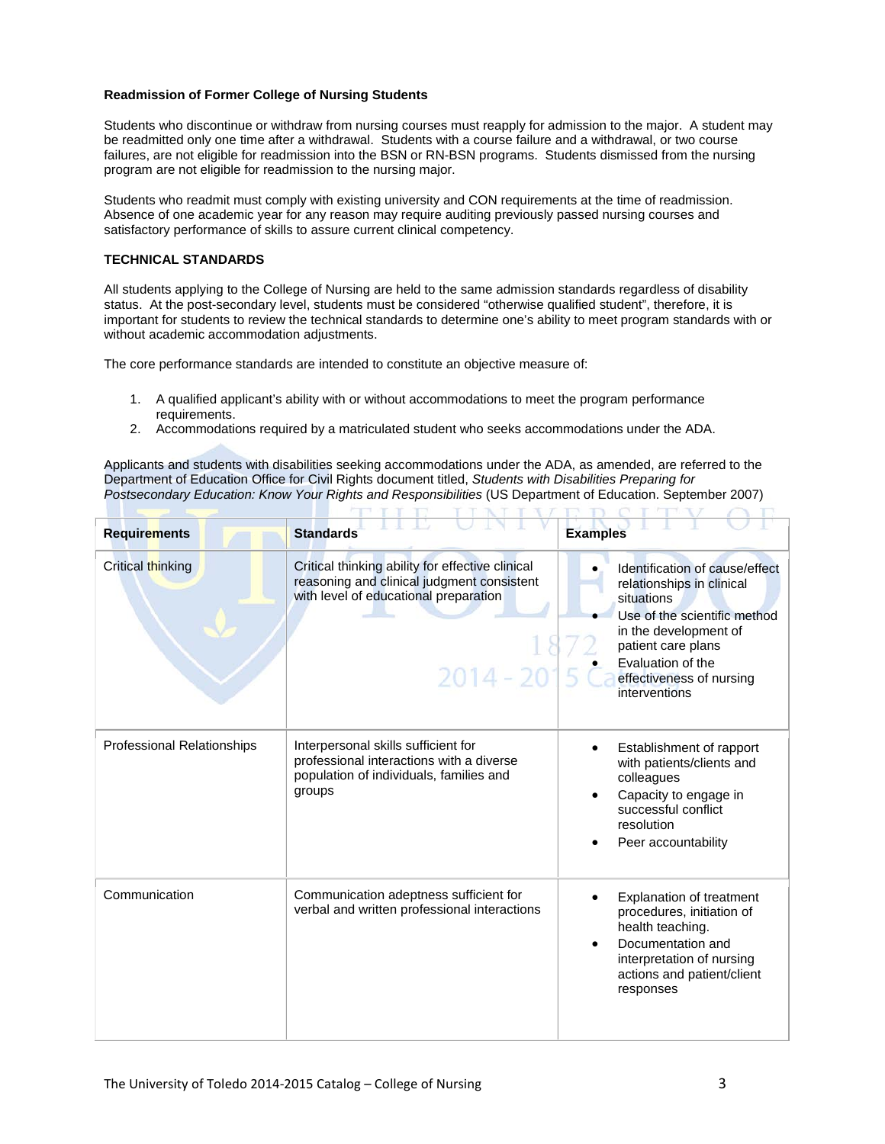## **Readmission of Former College of Nursing Students**

Students who discontinue or withdraw from nursing courses must reapply for admission to the major. A student may be readmitted only one time after a withdrawal. Students with a course failure and a withdrawal, or two course failures, are not eligible for readmission into the BSN or RN-BSN programs. Students dismissed from the nursing program are not eligible for readmission to the nursing major.

Students who readmit must comply with existing university and CON requirements at the time of readmission. Absence of one academic year for any reason may require auditing previously passed nursing courses and satisfactory performance of skills to assure current clinical competency.

## **TECHNICAL STANDARDS**

All students applying to the College of Nursing are held to the same admission standards regardless of disability status. At the post-secondary level, students must be considered "otherwise qualified student", therefore, it is important for students to review the technical standards to determine one's ability to meet program standards with or without academic accommodation adjustments.

The core performance standards are intended to constitute an objective measure of:

1. A qualified applicant's ability with or without accommodations to meet the program performance requirements.

**THE REAL PROPERTY** 

2. Accommodations required by a matriculated student who seeks accommodations under the ADA.

Applicants and students with disabilities seeking accommodations under the ADA, as amended, are referred to the Department of Education Office for Civil Rights document titled, *Students with Disabilities Preparing for Postsecondary Education: Know Your Rights and Responsibilities* (US Department of Education. September 2007)

| <b>Requirements</b>               | <b>Standards</b>                                                                                                                                       | <b>Examples</b>                                                                                                                                                                                                            |
|-----------------------------------|--------------------------------------------------------------------------------------------------------------------------------------------------------|----------------------------------------------------------------------------------------------------------------------------------------------------------------------------------------------------------------------------|
| Critical thinking                 | Critical thinking ability for effective clinical<br>reasoning and clinical judgment consistent<br>with level of educational preparation<br>$2014 - 20$ | Identification of cause/effect<br>relationships in clinical<br>situations<br>Use of the scientific method<br>in the development of<br>patient care plans<br>Evaluation of the<br>effectiveness of nursing<br>interventions |
| <b>Professional Relationships</b> | Interpersonal skills sufficient for<br>professional interactions with a diverse<br>population of individuals, families and<br>groups                   | Establishment of rapport<br>with patients/clients and<br>colleagues<br>Capacity to engage in<br>successful conflict<br>resolution<br>Peer accountability                                                                   |
| Communication                     | Communication adeptness sufficient for<br>verbal and written professional interactions                                                                 | <b>Explanation of treatment</b><br>procedures, initiation of<br>health teaching.<br>Documentation and<br>interpretation of nursing<br>actions and patient/client<br>responses                                              |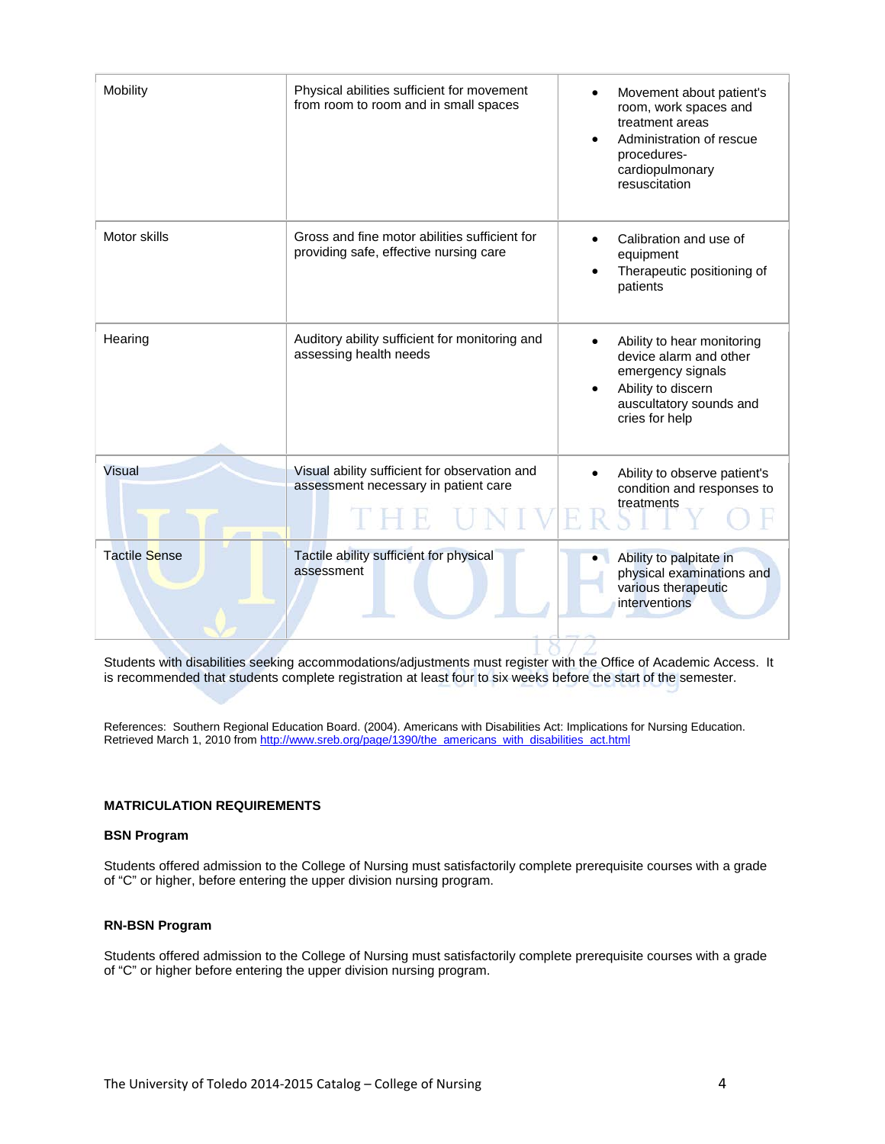| Mobility             | Physical abilities sufficient for movement<br>from room to room and in small spaces     | Movement about patient's<br>room, work spaces and<br>treatment areas<br>Administration of rescue<br>procedures-<br>cardiopulmonary<br>resuscitation |
|----------------------|-----------------------------------------------------------------------------------------|-----------------------------------------------------------------------------------------------------------------------------------------------------|
| Motor skills         | Gross and fine motor abilities sufficient for<br>providing safe, effective nursing care | Calibration and use of<br>equipment<br>Therapeutic positioning of<br>patients                                                                       |
| Hearing              | Auditory ability sufficient for monitoring and<br>assessing health needs                | Ability to hear monitoring<br>device alarm and other<br>emergency signals<br>Ability to discern<br>auscultatory sounds and<br>cries for help        |
| Visual               | Visual ability sufficient for observation and<br>assessment necessary in patient care   | Ability to observe patient's<br>condition and responses to<br>treatments                                                                            |
| <b>Tactile Sense</b> | Tactile ability sufficient for physical<br>assessment                                   | Ability to palpitate in<br>physical examinations and<br>various therapeutic<br>interventions                                                        |

Students with disabilities seeking accommodations/adjustments must register with the Office of Academic Access. It is recommended that students complete registration at least four to six weeks before the start of the semester.

References: Southern Regional Education Board. (2004). Americans with Disabilities Act: Implications for Nursing Education. Retrieved March 1, 2010 from [http://www.sreb.org/page/1390/the\\_americans\\_with\\_disabilities\\_act.html](http://www.sreb.org/page/1390/the_americans_with_disabilities_act.html)

# **MATRICULATION REQUIREMENTS**

# **BSN Program**

Students offered admission to the College of Nursing must satisfactorily complete prerequisite courses with a grade of "C" or higher, before entering the upper division nursing program.

# **RN-BSN Program**

Students offered admission to the College of Nursing must satisfactorily complete prerequisite courses with a grade of "C" or higher before entering the upper division nursing program.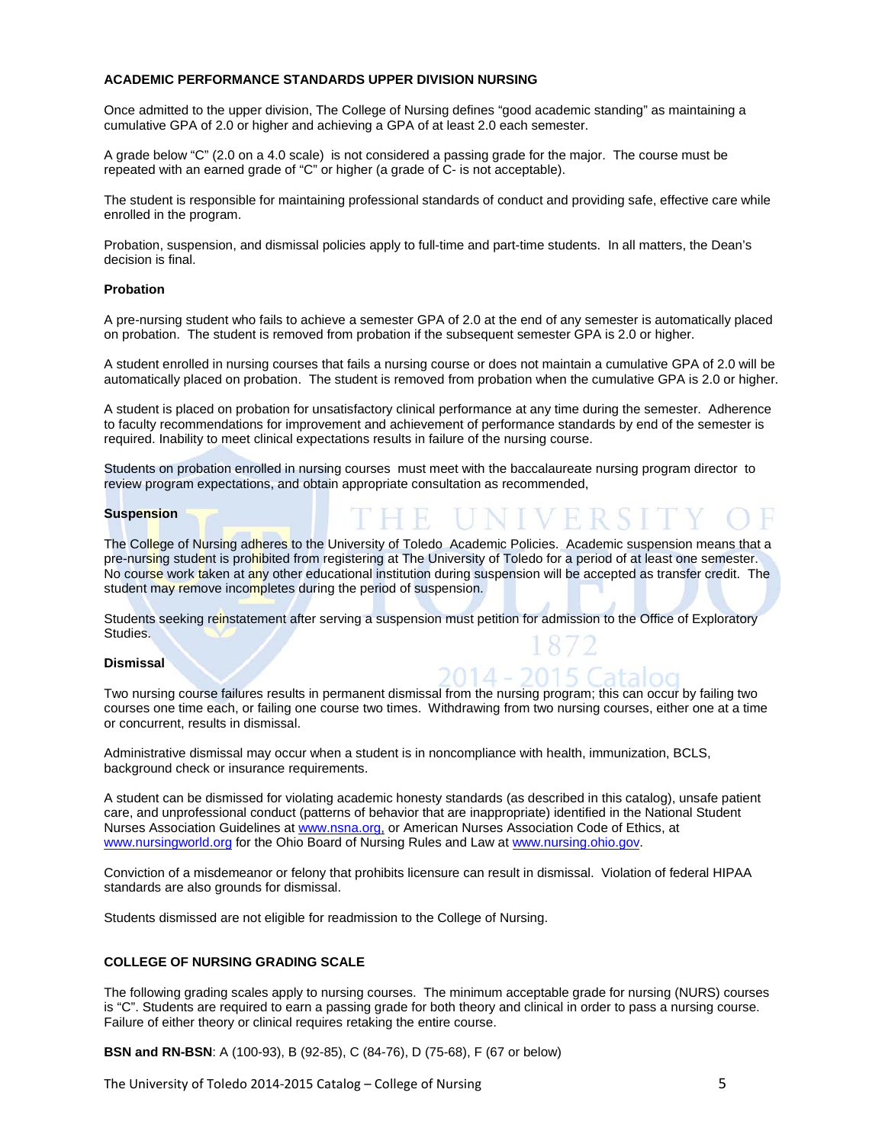# **ACADEMIC PERFORMANCE STANDARDS UPPER DIVISION NURSING**

Once admitted to the upper division, The College of Nursing defines "good academic standing" as maintaining a cumulative GPA of 2.0 or higher and achieving a GPA of at least 2.0 each semester.

A grade below "C" (2.0 on a 4.0 scale) is not considered a passing grade for the major. The course must be repeated with an earned grade of "C" or higher (a grade of C- is not acceptable).

The student is responsible for maintaining professional standards of conduct and providing safe, effective care while enrolled in the program.

Probation, suspension, and dismissal policies apply to full-time and part-time students. In all matters, the Dean's decision is final.

#### **Probation**

A pre-nursing student who fails to achieve a semester GPA of 2.0 at the end of any semester is automatically placed on probation. The student is removed from probation if the subsequent semester GPA is 2.0 or higher.

A student enrolled in nursing courses that fails a nursing course or does not maintain a cumulative GPA of 2.0 will be automatically placed on probation. The student is removed from probation when the cumulative GPA is 2.0 or higher.

A student is placed on probation for unsatisfactory clinical performance at any time during the semester. Adherence to faculty recommendations for improvement and achievement of performance standards by end of the semester is required. Inability to meet clinical expectations results in failure of the nursing course.

Students on probation enrolled in nursing courses must meet with the baccalaureate nursing program director to review program expectations, and obtain appropriate consultation as recommended,

#### **Suspension**

The College of Nursing adheres to the University of Toledo Academic Policies. Academic suspension means that a pre-nursing student is prohibited from registering at The University of Toledo for a period of at least one semester. No course work taken at any other educational institution during suspension will be accepted as transfer credit. The student may remove incompletes during the period of suspension.

Students seeking reinstatement after serving a suspension must petition for admission to the Office of Exploratory Studies.

#### **Dismissal**

Two nursing course failures results in permanent dismissal from the nursing program; this can occur by failing two courses one time each, or failing one course two times. Withdrawing from two nursing courses, either one at a time or concurrent, results in dismissal.

Administrative dismissal may occur when a student is in noncompliance with health, immunization, BCLS, background check or insurance requirements.

A student can be dismissed for violating academic honesty standards (as described in this catalog), unsafe patient care, and unprofessional conduct (patterns of behavior that are inappropriate) identified in the National Student Nurses Association Guidelines at www.nsna.org, or American Nurses Association Code of Ethics, at [www.nursingworld.org](http://www.nursingworld.org/) for the Ohio Board of Nursing Rules and Law a[t www.nursing.ohio.gov.](http://www.nursing.ohio.gov/)

Conviction of a misdemeanor or felony that prohibits licensure can result in dismissal. Violation of federal HIPAA standards are also grounds for dismissal.

Students dismissed are not eligible for readmission to the College of Nursing.

## **COLLEGE OF NURSING GRADING SCALE**

The following grading scales apply to nursing courses. The minimum acceptable grade for nursing (NURS) courses is "C". Students are required to earn a passing grade for both theory and clinical in order to pass a nursing course. Failure of either theory or clinical requires retaking the entire course.

**BSN and RN-BSN**: A (100-93), B (92-85), C (84-76), D (75-68), F (67 or below)

The University of Toledo 2014-2015 Catalog – College of Nursing 5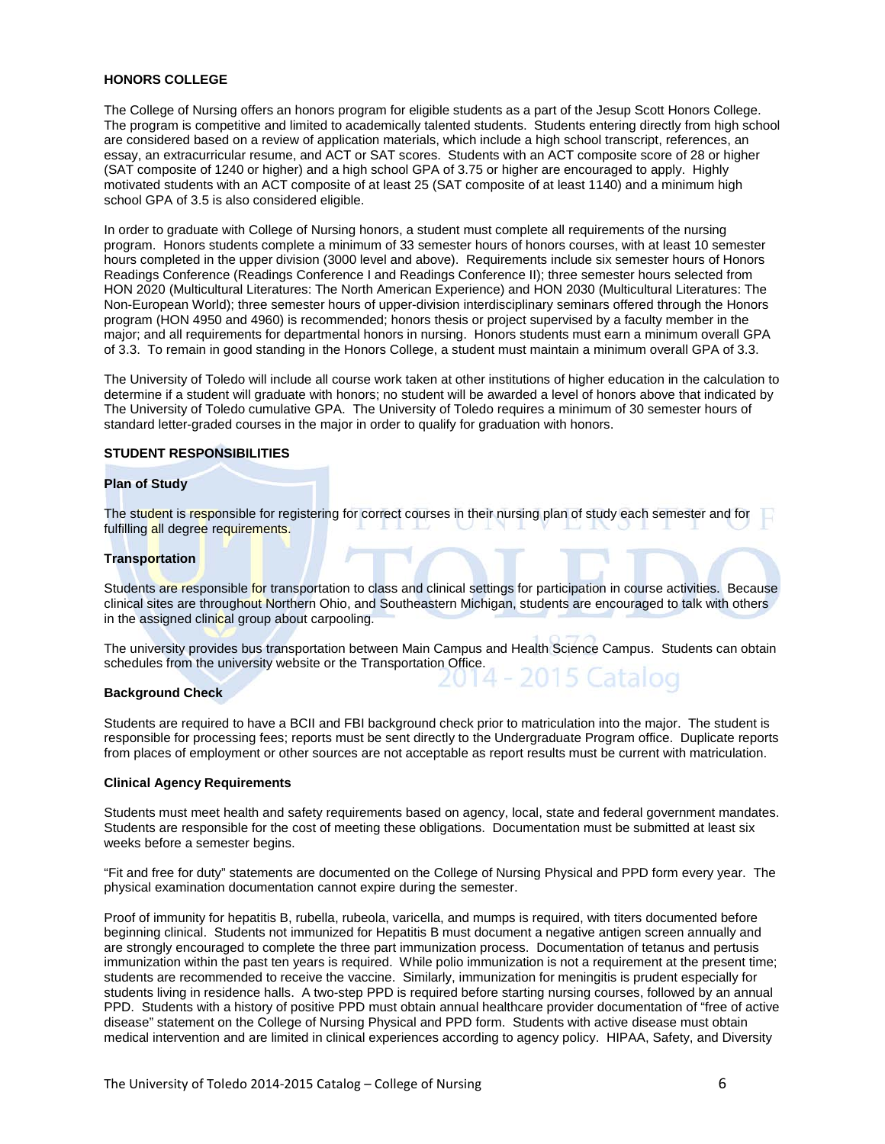# **HONORS COLLEGE**

The College of Nursing offers an honors program for eligible students as a part of the Jesup Scott Honors College. The program is competitive and limited to academically talented students. Students entering directly from high school are considered based on a review of application materials, which include a high school transcript, references, an essay, an extracurricular resume, and ACT or SAT scores. Students with an ACT composite score of 28 or higher (SAT composite of 1240 or higher) and a high school GPA of 3.75 or higher are encouraged to apply. Highly motivated students with an ACT composite of at least 25 (SAT composite of at least 1140) and a minimum high school GPA of 3.5 is also considered eligible.

In order to graduate with College of Nursing honors, a student must complete all requirements of the nursing program. Honors students complete a minimum of 33 semester hours of honors courses, with at least 10 semester hours completed in the upper division (3000 level and above). Requirements include six semester hours of Honors Readings Conference (Readings Conference I and Readings Conference II); three semester hours selected from HON 2020 (Multicultural Literatures: The North American Experience) and HON 2030 (Multicultural Literatures: The Non-European World); three semester hours of upper-division interdisciplinary seminars offered through the Honors program (HON 4950 and 4960) is recommended; honors thesis or project supervised by a faculty member in the major; and all requirements for departmental honors in nursing. Honors students must earn a minimum overall GPA of 3.3. To remain in good standing in the Honors College, a student must maintain a minimum overall GPA of 3.3.

The University of Toledo will include all course work taken at other institutions of higher education in the calculation to determine if a student will graduate with honors; no student will be awarded a level of honors above that indicated by The University of Toledo cumulative GPA. The University of Toledo requires a minimum of 30 semester hours of standard letter-graded courses in the major in order to qualify for graduation with honors.

## **STUDENT RESPONSIBILITIES**

#### **Plan of Study**

The student is responsible for registering for correct courses in their nursing plan of study each semester and for fulfilling all degree requirements.

#### **Transportation**

Students are responsible for transportation to class and clinical settings for participation in course activities. Because clinical sites are throughout Northern Ohio, and Southeastern Michigan, students are encouraged to talk with others in the assigned clinical group about carpooling.

The university provides bus transportation between Main Campus and Health Science Campus. Students can obtain schedules from the university website or the Transportation Office.

#### **Background Check**

Students are required to have a BCII and FBI background check prior to matriculation into the major. The student is responsible for processing fees; reports must be sent directly to the Undergraduate Program office. Duplicate reports from places of employment or other sources are not acceptable as report results must be current with matriculation.

#### **Clinical Agency Requirements**

Students must meet health and safety requirements based on agency, local, state and federal government mandates. Students are responsible for the cost of meeting these obligations. Documentation must be submitted at least six weeks before a semester begins.

"Fit and free for duty" statements are documented on the College of Nursing Physical and PPD form every year. The physical examination documentation cannot expire during the semester.

Proof of immunity for hepatitis B, rubella, rubeola, varicella, and mumps is required, with titers documented before beginning clinical. Students not immunized for Hepatitis B must document a negative antigen screen annually and are strongly encouraged to complete the three part immunization process. Documentation of tetanus and pertusis immunization within the past ten years is required. While polio immunization is not a requirement at the present time; students are recommended to receive the vaccine. Similarly, immunization for meningitis is prudent especially for students living in residence halls. A two-step PPD is required before starting nursing courses, followed by an annual PPD. Students with a history of positive PPD must obtain annual healthcare provider documentation of "free of active disease" statement on the College of Nursing Physical and PPD form. Students with active disease must obtain medical intervention and are limited in clinical experiences according to agency policy. HIPAA, Safety, and Diversity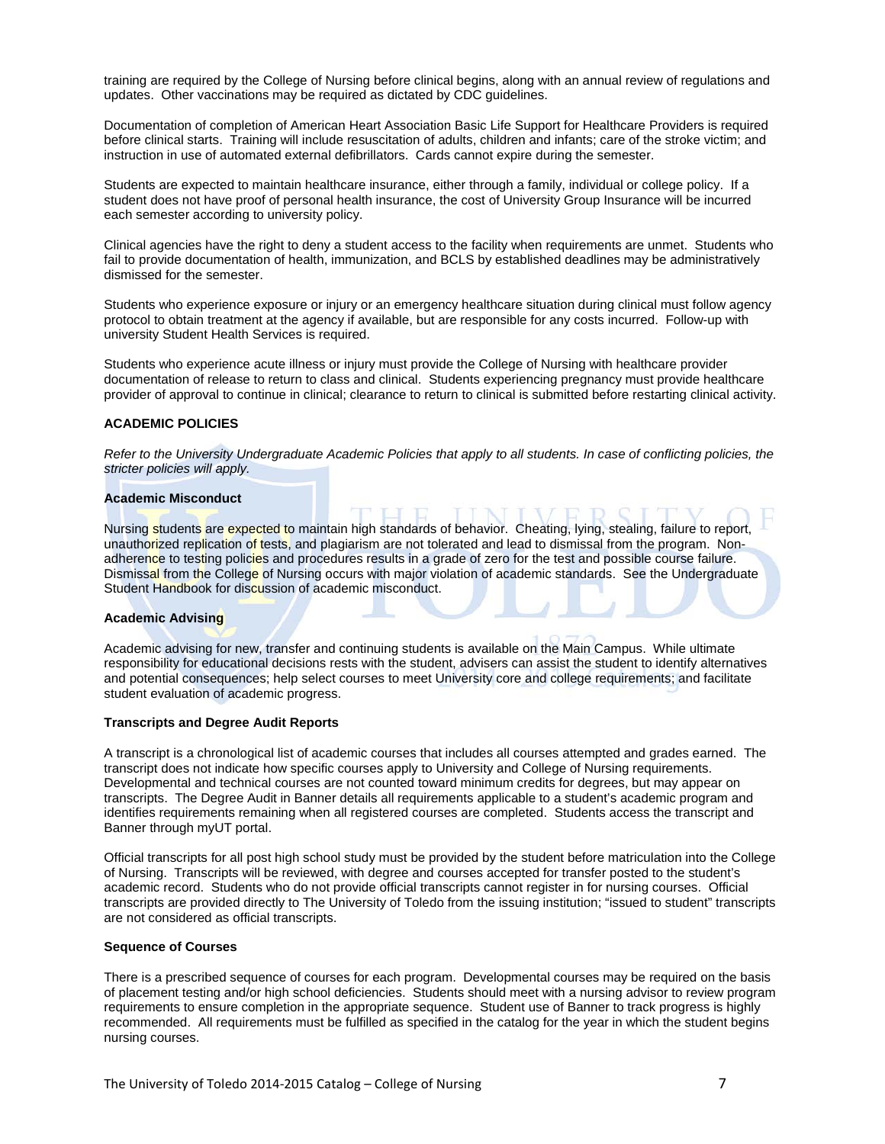training are required by the College of Nursing before clinical begins, along with an annual review of regulations and updates. Other vaccinations may be required as dictated by CDC guidelines.

Documentation of completion of American Heart Association Basic Life Support for Healthcare Providers is required before clinical starts. Training will include resuscitation of adults, children and infants; care of the stroke victim; and instruction in use of automated external defibrillators. Cards cannot expire during the semester.

Students are expected to maintain healthcare insurance, either through a family, individual or college policy. If a student does not have proof of personal health insurance, the cost of University Group Insurance will be incurred each semester according to university policy.

Clinical agencies have the right to deny a student access to the facility when requirements are unmet. Students who fail to provide documentation of health, immunization, and BCLS by established deadlines may be administratively dismissed for the semester.

Students who experience exposure or injury or an emergency healthcare situation during clinical must follow agency protocol to obtain treatment at the agency if available, but are responsible for any costs incurred. Follow-up with university Student Health Services is required.

Students who experience acute illness or injury must provide the College of Nursing with healthcare provider documentation of release to return to class and clinical. Students experiencing pregnancy must provide healthcare provider of approval to continue in clinical; clearance to return to clinical is submitted before restarting clinical activity.

# **ACADEMIC POLICIES**

*Refer to the University Undergraduate Academic Policies that apply to all students. In case of conflicting policies, the stricter policies will apply.*

#### **Academic Misconduct**

Nursing students are expected to maintain high standards of behavior. Cheating, Iving, stealing, failure to report, unauthorized replication of tests, and plagiarism are not tolerated and lead to dismissal from the program. Nonadherence to testing policies and procedures results in a grade of zero for the test and possible course failure. Dismissal from the College of Nursing occurs with major violation of academic standards. See the Undergraduate Student Handbook for discussion of academic misconduct.

#### **Academic Advising**

Academic advising for new, transfer and continuing students is available on the Main Campus. While ultimate responsibility for educational decisions rests with the student, advisers can assist the student to identify alternatives and potential consequences; help select courses to meet University core and college requirements; and facilitate student evaluation of academic progress.

#### **Transcripts and Degree Audit Reports**

A transcript is a chronological list of academic courses that includes all courses attempted and grades earned. The transcript does not indicate how specific courses apply to University and College of Nursing requirements. Developmental and technical courses are not counted toward minimum credits for degrees, but may appear on transcripts. The Degree Audit in Banner details all requirements applicable to a student's academic program and identifies requirements remaining when all registered courses are completed. Students access the transcript and Banner through myUT portal.

Official transcripts for all post high school study must be provided by the student before matriculation into the College of Nursing. Transcripts will be reviewed, with degree and courses accepted for transfer posted to the student's academic record. Students who do not provide official transcripts cannot register in for nursing courses. Official transcripts are provided directly to The University of Toledo from the issuing institution; "issued to student" transcripts are not considered as official transcripts.

## **Sequence of Courses**

There is a prescribed sequence of courses for each program. Developmental courses may be required on the basis of placement testing and/or high school deficiencies. Students should meet with a nursing advisor to review program requirements to ensure completion in the appropriate sequence. Student use of Banner to track progress is highly recommended. All requirements must be fulfilled as specified in the catalog for the year in which the student begins nursing courses.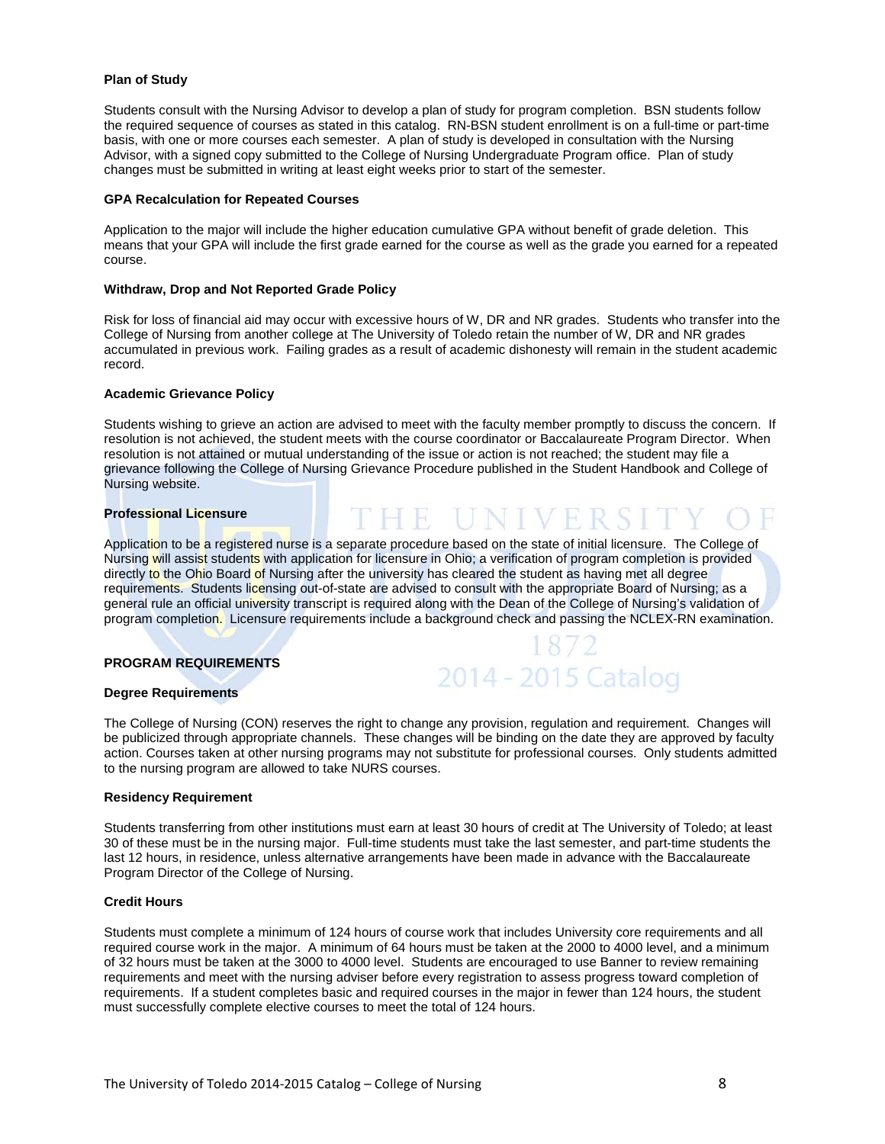# **Plan of Study**

Students consult with the Nursing Advisor to develop a plan of study for program completion. BSN students follow the required sequence of courses as stated in this catalog. RN-BSN student enrollment is on a full-time or part-time basis, with one or more courses each semester. A plan of study is developed in consultation with the Nursing Advisor, with a signed copy submitted to the College of Nursing Undergraduate Program office. Plan of study changes must be submitted in writing at least eight weeks prior to start of the semester.

# **GPA Recalculation for Repeated Courses**

Application to the major will include the higher education cumulative GPA without benefit of grade deletion. This means that your GPA will include the first grade earned for the course as well as the grade you earned for a repeated course.

## **Withdraw, Drop and Not Reported Grade Policy**

Risk for loss of financial aid may occur with excessive hours of W, DR and NR grades. Students who transfer into the College of Nursing from another college at The University of Toledo retain the number of W, DR and NR grades accumulated in previous work. Failing grades as a result of academic dishonesty will remain in the student academic record.

## **Academic Grievance Policy**

Students wishing to grieve an action are advised to meet with the faculty member promptly to discuss the concern. If resolution is not achieved, the student meets with the course coordinator or Baccalaureate Program Director. When resolution is not attained or mutual understanding of the issue or action is not reached; the student may file a grievance following the College of Nursing Grievance Procedure published in the Student Handbook and College of Nursing website.

# **Professional Licensure**

Application to be a registered nurse is a separate procedure based on the state of initial licensure. The College of Nursing will assist students with application for licensure in Ohio; a verification of program completion is provided directly to the Ohio Board of Nursing after the university has cleared the student as having met all degree requirements. Students licensing out-of-state are advised to consult with the appropriate Board of Nursing; as a general rule an official university transcript is required along with the Dean of the College of Nursing's validation of program completion. Licensure requirements include a background check and passing the NCLEX-RN examination.

# **PROGRAM REQUIREMENTS**



HE UNIVERS

#### **Degree Requirements**

The College of Nursing (CON) reserves the right to change any provision, regulation and requirement. Changes will be publicized through appropriate channels. These changes will be binding on the date they are approved by faculty action. Courses taken at other nursing programs may not substitute for professional courses. Only students admitted to the nursing program are allowed to take NURS courses.

#### **Residency Requirement**

Students transferring from other institutions must earn at least 30 hours of credit at The University of Toledo; at least 30 of these must be in the nursing major. Full-time students must take the last semester, and part-time students the last 12 hours, in residence, unless alternative arrangements have been made in advance with the Baccalaureate Program Director of the College of Nursing.

#### **Credit Hours**

Students must complete a minimum of 124 hours of course work that includes University core requirements and all required course work in the major. A minimum of 64 hours must be taken at the 2000 to 4000 level, and a minimum of 32 hours must be taken at the 3000 to 4000 level. Students are encouraged to use Banner to review remaining requirements and meet with the nursing adviser before every registration to assess progress toward completion of requirements. If a student completes basic and required courses in the major in fewer than 124 hours, the student must successfully complete elective courses to meet the total of 124 hours.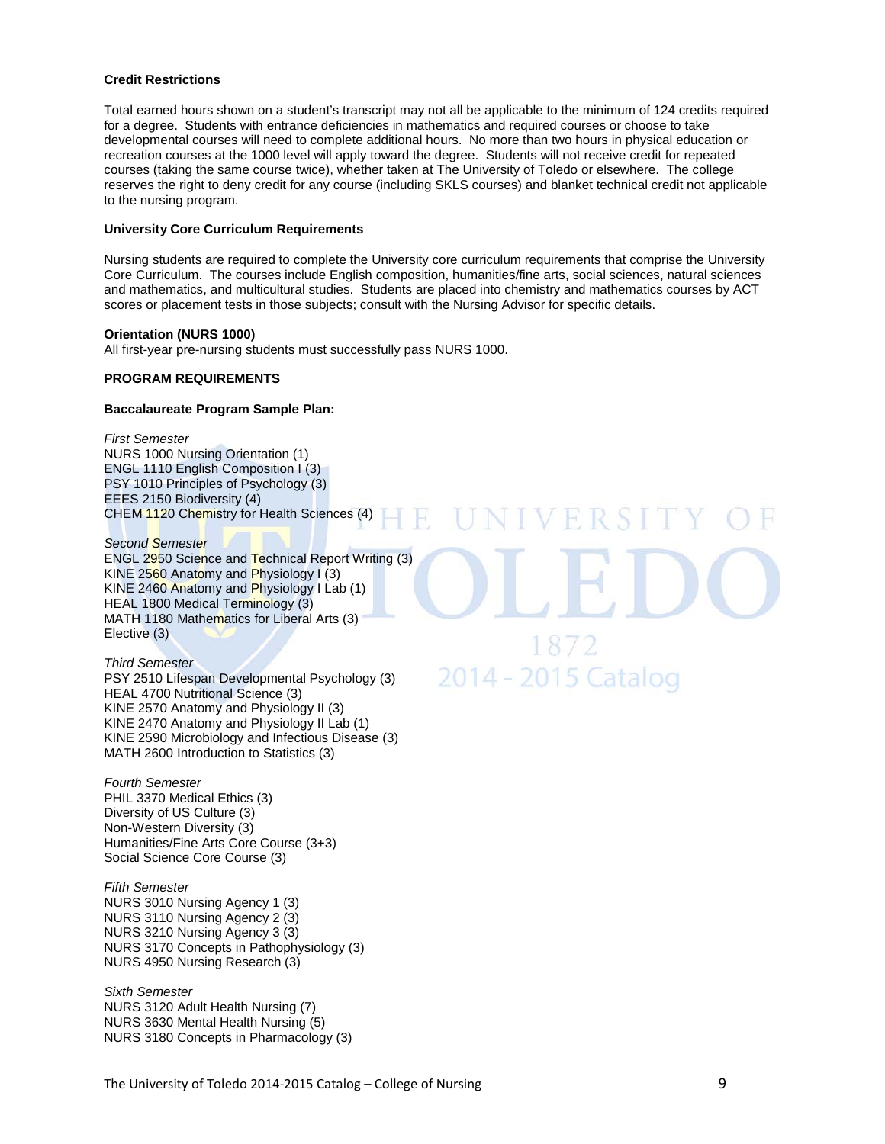## **Credit Restrictions**

Total earned hours shown on a student's transcript may not all be applicable to the minimum of 124 credits required for a degree. Students with entrance deficiencies in mathematics and required courses or choose to take developmental courses will need to complete additional hours. No more than two hours in physical education or recreation courses at the 1000 level will apply toward the degree. Students will not receive credit for repeated courses (taking the same course twice), whether taken at The University of Toledo or elsewhere. The college reserves the right to deny credit for any course (including SKLS courses) and blanket technical credit not applicable to the nursing program.

# **University Core Curriculum Requirements**

Nursing students are required to complete the University core curriculum requirements that comprise the University Core Curriculum. The courses include English composition, humanities/fine arts, social sciences, natural sciences and mathematics, and multicultural studies. Students are placed into chemistry and mathematics courses by ACT scores or placement tests in those subjects; consult with the Nursing Advisor for specific details.

2월

#### **Orientation (NURS 1000)**

All first-year pre-nursing students must successfully pass NURS 1000.

# **PROGRAM REQUIREMENTS**

## **Baccalaureate Program Sample Plan:**

*First Semester* NURS 1000 Nursing Orientation (1) ENGL 1110 English Composition I (3) PSY 1010 Principles of Psychology (3) EEES 2150 Biodiversity (4) CHEM 1120 Chemistry for Health Sciences (4)

*Second Semester* ENGL 2950 Science and Technical Report Writing (3) KINE 2560 Anatomy and Physiology I (3) KINE 2460 Anatomy and Physiology I Lab (1) HEAL 1800 Medical Terminology (3) MATH 1180 Mathematics for Liberal Arts (3) Elective (3)

#### *Third Semester*

PSY 2510 Lifespan Developmental Psychology (3) HEAL 4700 Nutritional Science (3) KINE 2570 Anatomy and Physiology II (3) KINE 2470 Anatomy and Physiology II Lab (1) KINE 2590 Microbiology and Infectious Disease (3) MATH 2600 Introduction to Statistics (3)

*Fourth Semester* PHIL 3370 Medical Ethics (3) Diversity of US Culture (3) Non-Western Diversity (3) Humanities/Fine Arts Core Course (3+3) Social Science Core Course (3)

*Fifth Semester* NURS 3010 Nursing Agency 1 (3) NURS 3110 Nursing Agency 2 (3) NURS 3210 Nursing Agency 3 (3) NURS 3170 Concepts in Pathophysiology (3) NURS 4950 Nursing Research (3)

*Sixth Semester* NURS 3120 Adult Health Nursing (7) NURS 3630 Mental Health Nursing (5) NURS 3180 Concepts in Pharmacology (3) 2014 - 2015 Catalog

**NIVERSI**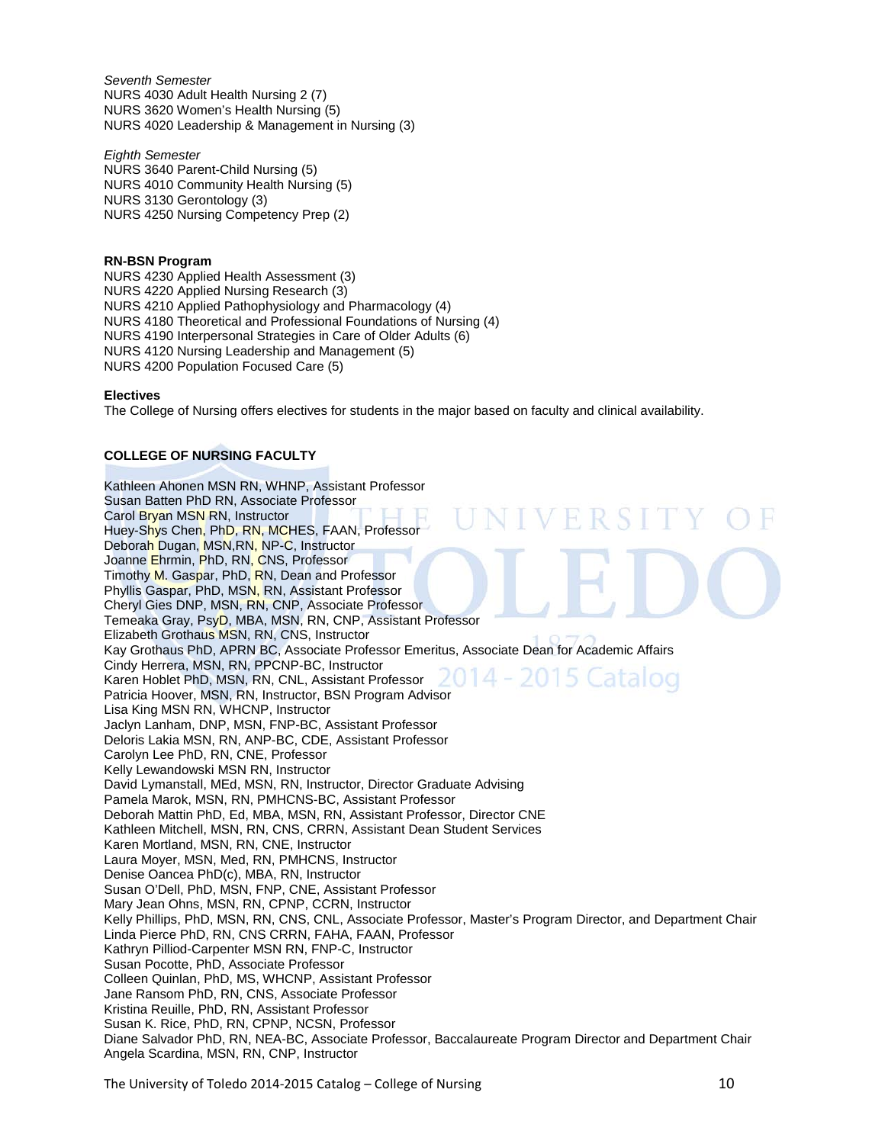*Seventh Semester* NURS 4030 Adult Health Nursing 2 (7) NURS 3620 Women's Health Nursing (5) NURS 4020 Leadership & Management in Nursing (3)

*Eighth Semester* NURS 3640 Parent-Child Nursing (5) NURS 4010 Community Health Nursing (5) NURS 3130 Gerontology (3) NURS 4250 Nursing Competency Prep (2)

**RN-BSN Program**

NURS 4230 Applied Health Assessment (3) NURS 4220 Applied Nursing Research (3) NURS 4210 Applied Pathophysiology and Pharmacology (4) NURS 4180 Theoretical and Professional Foundations of Nursing (4) NURS 4190 Interpersonal Strategies in Care of Older Adults (6) NURS 4120 Nursing Leadership and Management (5) NURS 4200 Population Focused Care (5)

# **Electives**

The College of Nursing offers electives for students in the major based on faculty and clinical availability.

# **COLLEGE OF NURSING FACULTY**